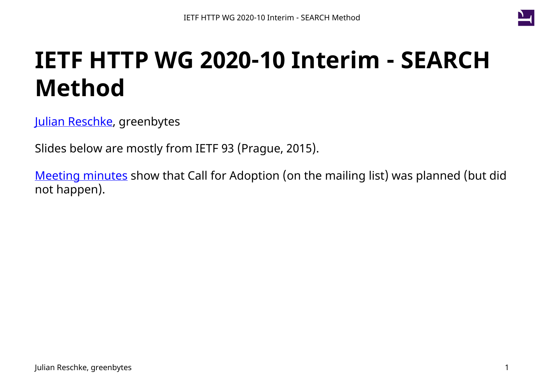

# **IETF HTTP WG 2020-10 Interim - SEARCH Method**

[Julian Reschke,](mailto:julian.reschke@greenbytes.de) greenbytes

Slides below are mostly from IETF 93 (Prague, 2015).

[Meeting minutes](https://datatracker.ietf.org/doc/minutes-93-httpbis/) show that Call for Adoption (on the mailing list) was planned (but did not happen).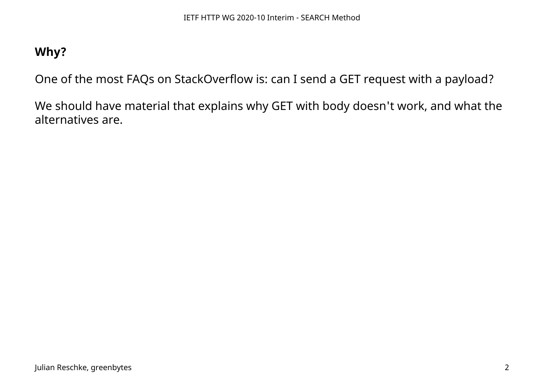## **Why?**

One of the most FAQs on StackOverflow is: can I send a GET request with a payload?

We should have material that explains why GET with body doesn't work, and what the alternatives are.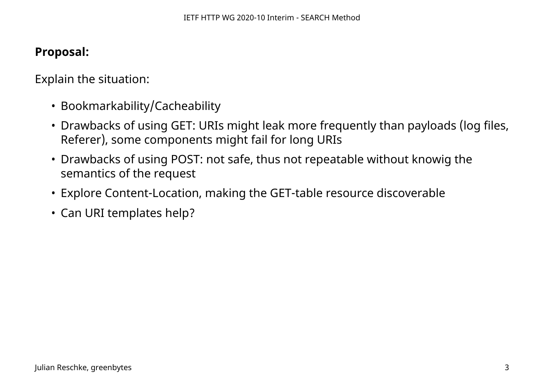### **Proposal:**

Explain the situation:

- Bookmarkability/Cacheability
- Drawbacks of using GET: URIs might leak more frequently than payloads (log files, Referer), some components might fail for long URIs
- Drawbacks of using POST: not safe, thus not repeatable without knowig the semantics of the request
- Explore Content-Location, making the GET-table resource discoverable
- Can URI templates help?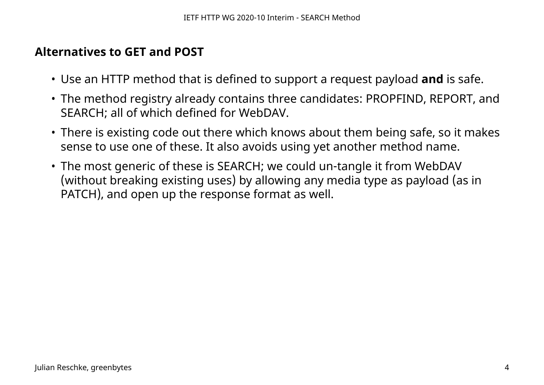#### **Alternatives to GET and POST**

- Use an HTTP method that is defined to support a request payload **and** is safe.
- The method registry already contains three candidates: PROPFIND, REPORT, and SEARCH; all of which defined for WebDAV.
- There is existing code out there which knows about them being safe, so it makes sense to use one of these. It also avoids using yet another method name.
- The most generic of these is SEARCH; we could un-tangle it from WebDAV (without breaking existing uses) by allowing any media type as payload (as in PATCH), and open up the response format as well.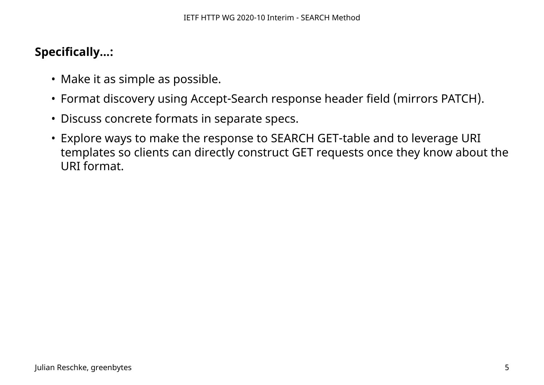## **Specifically...:**

- Make it as simple as possible.
- Format discovery using Accept-Search response header field (mirrors PATCH).
- Discuss concrete formats in separate specs.
- Explore ways to make the response to SEARCH GET-table and to leverage URI templates so clients can directly construct GET requests once they know about the URI format.